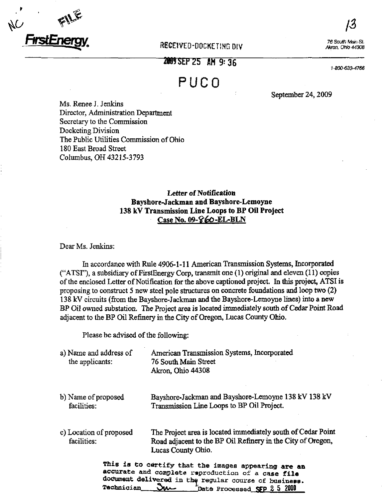

## RECEIVED-DOCKETING DIV

76 South Main St. Akron, Onio 44308

2009 SEP 25 AM 9:36

1-800-633-4766

# PUCO

September 24, 2009

Ms. Renee J. Jenkins Director, Administration Department Secretary to the Commission Docketing Division The Public Utilities Commission of Ohio 180 East Broad Street Columbus, OH 43215-3793

# Letter of Notification Bayshore-Jackman and Bayshore-Lemoyne 138 kV Transmission Line Loops to BP Oil Project Case No. 09-860-EL-BLN

Dear Ms. Jenkins:

In accordance with Rule 4906-1-11 American Transmission Systems, Incorporated C'ATSI"), a subsidiary of FirstEnergy Corp, transmit one (1) original and eleven (11) copies of the enclosed Letter of Notification for the above captioned project. In this project, ATSI is proposing to construct 5 new steel pole structures on concrete foundations and loop two (2) 138 kV circuits (from the Bayshore-Jackman and the Bayshore-Lemoyne lines) into a new BP Oil owned substation. The Project area is located immediately south of Cedar Point Road adjacent to the BP Oil Refinery in the City of Oregon, Lucas County Ohio.

Please be advised of the following:

| a) Name and address of<br>the applicants: | American Transmission Systems, Incorporated<br>76 South Main Street<br>Akron, Ohio 44308                                                                                                                       |
|-------------------------------------------|----------------------------------------------------------------------------------------------------------------------------------------------------------------------------------------------------------------|
| b) Name of proposed<br>facilities:        | Bayshore-Jackman and Bayshore-Lemoyne 138 kV 138 kV<br>Transmission Line Loops to BP Oil Project.                                                                                                              |
| c) Location of proposed<br>facilities:    | The Project area is located immediately south of Cedar Point<br>Road adjacent to the BP Oil Refinery in the City of Oregon,<br>Lucas County Ohio.                                                              |
| Technician                                | This is to certify that the images appearing are an<br>accurate and complete reproduction of a case file<br>document delivered in the regular course of business.<br><b>Ju-</b><br>Date Processed SFP 2 5 2009 |

Technician **DIAA** frocessed SFP 2 5 2009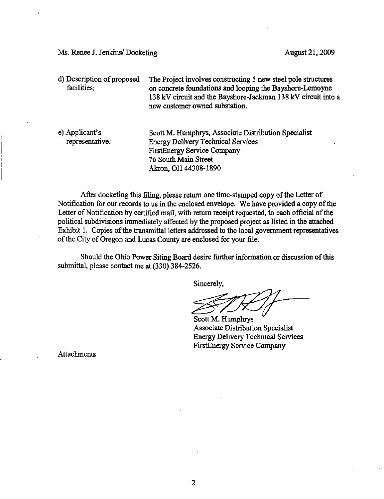Ms. Renee J. Jenkins/ Docketing August 21, 2009

d) Description of proposed facilities: The Project involves constructing 5 new steel pole structures on concrete foundations and looping the Bayshore-Lemoyne 138 kV circuit and the Bayshore-Jackman 138 kV circuit into a new customer owned substation.

e) Applicant's representative: Scott M, Humphrys, Associate Distribution Speciahst Energy Dehvery Technical Services FirstEnergy Service Company 76 South Main Street Akron, OH 44308-1890

After docketing this filing, please return one time-stamped copy of the Letter of Notification for our records to us in the enclosed envelope. We have provided a copy of the Letter of Notification by certified mail, with return receipt requested, to each official of the political subdivisions immediately affected by the proposed project as listed in the attached Exhibit 1. Copies of the transmittal letters addressed to the local government representatives of the City of Oregon and Lucas County are enclosed for your file.

Should the Ohio Power Siting Board desire fiuther information or discussion of this submittal, please contact me at (330) 384-2526.

Sincerely,

Scott M. Humphrys Associate Distribution Specialist Energy Delivery Technical Services FirstEnergy Service Company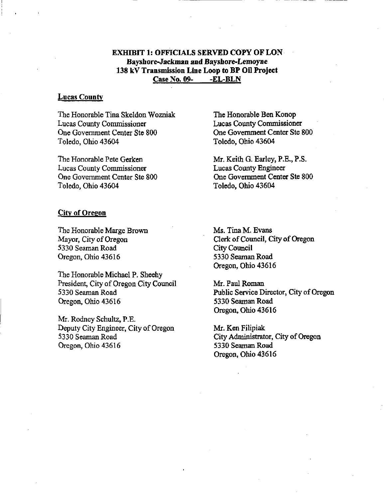#### EXHIBIT 1: OFFICIALS SERVED COPY OF LON Bayshore-Jackman and Bayshore-Lemoyne 138 kV Transmission Line Loop to BP Oil Project Case No. 09-<br>-EL-BLN

#### **Lucas County**

The Honorable Tina Skeldon Wozniak Lucas County Commissioner One Government Center Ste 800 Toledo, Ohio 43604

The Honorable Pete Gerken Lucas County Commissioner One Government Center Ste 800 Toledo, Ohio 43604

City of Oregon

The Honorable Marge Brown Mayor, City of Oregon 5330 Seaman Road Oregon, Ohio 43616

The Honorable Michael P. Sheehy President, City of Oregon City Council 5330 Seaman Road Oregon, Ohio 43616

Mr. Rodney Schultz, P.E. Deputy City Engineer, City of Oregon 5330 Seaman Road Oregon, Ohio 43616

The Honorable Ben Konop Lucas County Commissioner One Government Center Ste 800 Toledo, Ohio 43604

Mr. Keith G. Earley, P.E., P.S. Lucas County Engineer One Government Center Ste 800 Toledo, Ohio 43604

Ms. Tina M. Evans Clerk of Council, City of Oregon City Council 5330 Seaman Road Oregon, Ohio 43616

Mr. Paul Roman Public Service Director, City of Oregon 5330 Seaman Road Oregon, Ohio 43616

Mr. Ken Filipiak City Administrator, City of Oregon 5330 Seaman Road Oregon, Ohio 43616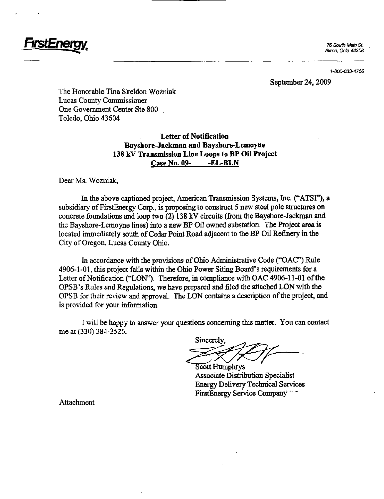

76 South Main St. Akron, Ohio 44308

1-800-633-4766

#### September 24,2009

The Honorable Tina Skeldon Wozniak Lucas County Commissioner One Government Center Ste 800 Toledo, Ohio 43604

## Letter of Notification Bayshore-Jackman and Bayshore-Lemoyne 138 kV Transmission Line Loops to BP Oil Project Case No. 09- -EL-BLN

Dear Ms. Wozniak,

In the above captioned project, American Transmission Systems, Inc. ("ATSF'), a subsidiary of FirstEnergy Corp., is proposing to construct 5 new steel pole structures on concrete foundations and loop two (2) 138 kV circuits (from the Bayshore-Jackman and the Bayshore-Lemoyne lines) into a new BP Oil owned substation. The Project area is located immediately south of Cedar Point Road adjacent to the BP Oil Refinery in the City of Oregon, Lucas County Ohio.

In accordance with the provisions of Ohio Administrative Code ("OAC") Rule 4906-1-01, this project falls within the Ohio Power Siting Board's requirements for a Letter of Notification ("LON"). Therefore, in compliance with OAC 4906-11-01 of the OPSB's Rules and Regulations, we have prepared and filed the attached LON with the OPSB for their review and approval. The LON contains a description of the project, and is provided for your information.

I will be happy to answer your questions concerning this matter. You can contact me at (330) 384-2526.

Sincerely,

Scott Humphrys Associate Distribution Specialist Energy Dehvery Technical Services FirstEnergy Service Company \*\*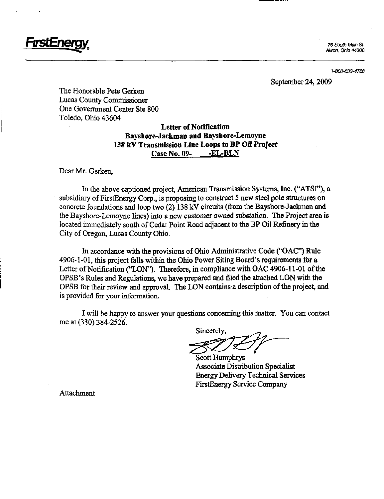

Akron, Ohio 4430B

1-800-633-4766

September 24,2009

The Honorable Pete Gerken Lucas County Commissioner One Government Center Ste 800 Toledo, Ohio 43604

## Letter of Notification Bayshore-Jackman and Bayshore-Lemoyne 138 kV Transmission Line Loops to BP Oil Project Case No. 09- -EL-BLN

#### Dear Mr. Gerken,

In the above captioned project, American Transmission Systems, Inc. ("ATSF'), a subsidiary of FirstEnergy Corp., is proposing to construct 5 new steel pole structures on concrete foundations and loop two (2) 138 kV circuits (from the Bayshore-Jackman and the Bayshore-Lemoyne lines) into a new customer owned substation. The Project area is located immediately south of Cedar Point Road adjacent to the BP Oil Refinery in the City of Oregon, Lucas County Ohio.

In accordance with the provisions of Ohio Administrative Code ("OAC") Rule 4906-1-01, this project falls within the Ohio Power Siting Board's requirements for a Letter of Notification ("LON"). Therefore, in compliance with OAC 4906-11-01 of the OPSB's Rules and Regulations, we have prepared and filed the attached LON with the OPSB for their review and approval. The LON contains a description of the project, and is provided for your information.

I will be happy to answer your questions concerning this matter. You can contact me at (330) 384-2526.

Sincerely,

Scott Humphrys Associate Distribution Specialist Energy Dehvery Technical Services FirstEnergy Service Company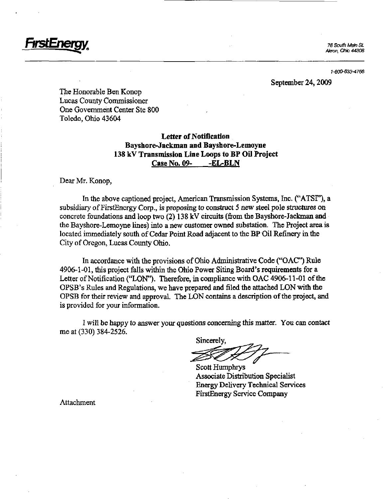

1-800-633-4766

September 24,2009

The Honorable Ben Konop Lucas County Commissioner One Government Center Ste 800 Toledo, Ohio 43604

## Letter of Notification Bayshore-Jackman and Bayshore-Lemoyne 138 kV Transmission Line Loops to BP Oil Project Case No. 09-<br>-EL-BLN

Dear Mr. Konop,

In the above captioned project, American Transmission Systems, Inc. ("ATSF'), a subsidiary of FirstEnergy Corp., is proposing to construct 5 new steel pole structures on concrete foundations and loop two (2) 138 kV circuits (from the Bayshore-Jackman and the Bayshore-Lemoyne lines) into a new customer owned substation. The Project area is located immediately south of Cedar Point Road adjacent to the BP Oil Refinery in the City of Oregon, Lucas County Ohio.

In accordance with the provisions of Ohio Administrative Code ("OAC") Rule 4906-1-01, this project falls within the Ohio Power Siting Board's requirements for a Letter of Notification ("LON"). Therefore, in comphance with OAC 4906-11-01 of the OPSB's Rules and Regulations, we have prepared and filed the attached LON with the OPSB for their review and approval. The LON contains a description of the project, and is provided for your information.

I will be happy to answer your questions concerning this matter. You can contact me at (330) 384-2526.

Sincerely,

Scott Humphrys Associate Distribution Specialist Energy Dehvery Technical Services FirstEnergy Service Company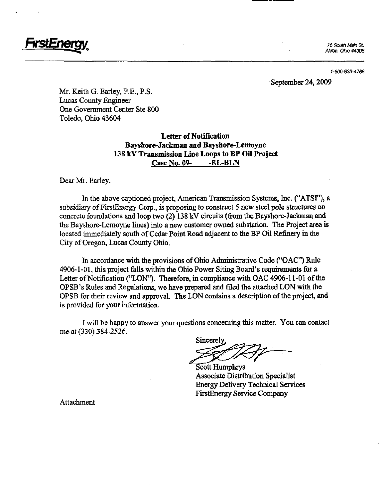

1-800-633-4766

September 24, 2009

Mr. Keith G. Earley, P.E., P.S. Lucas County Engineer One Government Center Ste 800 Toledo, Ohio 43604

## Letter of Notification Bayshore-Jackman and Bayshore-Lemoyne 138 kV Transmission Line Loops to BP Oil Project Case No. 09-<br>-EL-BLN

Dear Mr. Earley,

In the above captioned project, American Transmission Systems, Inc. ("ATSF\*), a subsidiary of FirstEnergy Corp., is proposing to construct 5 new steel pole structures on concrete foundations and loop two (2) 138 kV circuits (from the Bayshore-Jackman and the Bayshore-Lemoyne lines) into a new customer owned substation. The Project area is located immediately south of Cedar Point Road adjacent to the BP Oil Refinery in the City of Oregon, Lucas County Ohio.

In accordance with the provisions of Ohio Administrative Code ("OAC\*\*) Rule 4906-1-01, this project falls within the Ohio Power Siting Board's requirements for a Letter of Notification ("LON"). Therefore, in compliance with OAC 4906-11-01 of the OPSB's Rules and Regulations, we have prepared and filed the attached LON with the OPSB for their review and approval. The LON contains a description of the project, and is provided for your information.

I will be happy to answer your questions concerning this matter. You can contact me at (330) 384-2526.

Sincerely,

**Scott Humphrys** Associate Distribution Specialist Energy Delivery Technical Services FirstEnergy Service Company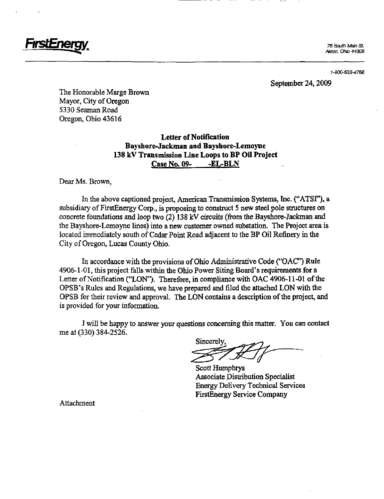76 South Main St. Akron, Ohio 44308

1-800-633-4766

#### September 24, 2009

The Honorable Marge Brown Mayor, City of Oregon 5330 Seaman Road Oregon, Ohio 43616

## Letter of Notification Bayshore-Jackman and Bayshore-Lemoyne 138 kV Transmission Line Loops to BP Oil Project Case No. 09- -EL-BLN

Dear Ms. Brown,

In the above captioned project, American Transmission Systems, Inc. ("ATSF'), a subsidiary of FirstEnergy Corp., is proposing to construct 5 new steel pole structures on concrete foundations and loop two (2) 138 kV circuits (from the Bayshore-Jackman and the Bayshore-Lemoyne lines) into a new customer owned substation. The Project area is located immediately south of Cedar Point Road adjacent to the BP Oil Refinery in the City of Oregon, Lucas County Ohio.

In accordance with the provisions of Ohio Administrative Code ("OAC") Rule 4906-1-01, this project falls within the Ohio Power Siting Board's requirements for a Letter of Notification ("LON"). Therefore, in compliance with OAC 4906-11-01 of the OPSB's Rules and Regulations, we have prepared and filed the attached LON with the OPSB for their review and approval. The LON contains a description of the project, and is provided for your information.

I will be happy to answer your questions concerning this matter. You can contact me at (330) 384-2526.

Sincerely,

Scott Humphrys Associate Distribution Specialist Energy Delivery Technical Services FirstEnergy Service Company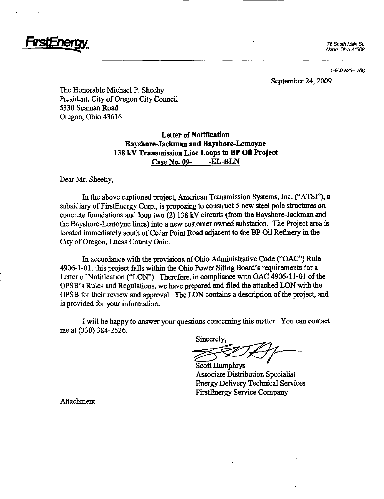

1-800-633-4766

September 24,2009

The Honorable Michael P. Sheehy President, City of Oregon City Council 5330 Seaman Road Oregon, Ohio 43616

## Letter of Notification Bayshore-Jackman and Bayshore-Lemoyne 138 kV Transmission Line Loops to BP Oil Project Case No. 09- -EL-BLN

Dear Mr. Sheehy,

In the above captioned project, American Transmission Systems, Inc. ("ATSF'), a subsidiary of FirstEnergy Corp., is proposing to construct 5 new steel pole structures on concrete foundations and loop two (2) 138 kV circuits (from the Bayshore-Jackman and the Bayshore-Lemoyne lines) into a new customer owned substation. The Project area is located immediately south of Cedar Point Road adjacent to the BP Oil Refinery in the City of Oregon, Lucas County Ohio.

In accordance with the provisions of Ohio Administrative Code ("OAC") Rule 4906-1-01, this project falls within the Ohio Power Siting Board's requirements for a Letter of Notification ("LON"). Therefore, in compliance with OAC 4906-11-01 of the OPSB's Rules and Regulations, we have prepared and filed the attached LON with the OPSB for their review and approval. The LON contains a description of the project, and is provided for your information.

I will be happy to answer your questions concerning this matter. You can contact me at (330) 384-2526.

Sincerely,

Scott Humphrys Associate Distribution Specialist Energy Dehvery Technical Services FirstEnergy Service Company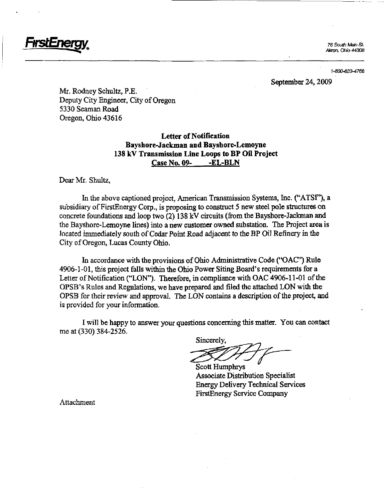

76 South Main SL Akron, Ohio 44308

1-800-633-4766

September 24,2009

Mr. Rodney Schultz, P.E. Deputy City Engineer, City of Oregon 5330 Seaman Road Oregon, Ohio 43616

> Letter of Notification Bayshore-Jackman and Bayshore-Lemoyne 138 kV Transmission Line Loops to BP Oil Project Case No. 09- -EL-BLN

Dear Mr. Shultz,

In the above captioned project, American Transmission Systems, Inc. ("ATSF\*), a subsidiary of FirstEnergy Corp., is proposing to construct 5 new steel pole structures on concrete foundations and loop two  $(2)$  138 kV circuits (from the Bayshore-Jackman and the Bayshore-Lemoyne lines) into a new customer owned substation. The Project area is located immediately south of Cedar Point Road adjacent to the BP Oil Refinery in the City of Oregon, Lucas County Ohio.

In accordance with the provisions of Ohio Administrative Code ("OAC") Rule 4906-1-01, this project falls within the Ohio Power Siting Board's requirements for a Letter of Notification ("LON"). Therefore, in compliance with OAC 4906-11-01 of the OPSB's Rules and Regulations, we have prepared and filed the attached LON with the OPSB for their review and approval. The LON contains a description of the project, and is provided for your information.

I will be happy to answer your questions concerning this matter. You can contact me at (330) 384-2526.

Sincerely,

Scott Humphrys Associate Distribution Speciahst Energy Delivery Technical Services FirstEnergy Service Company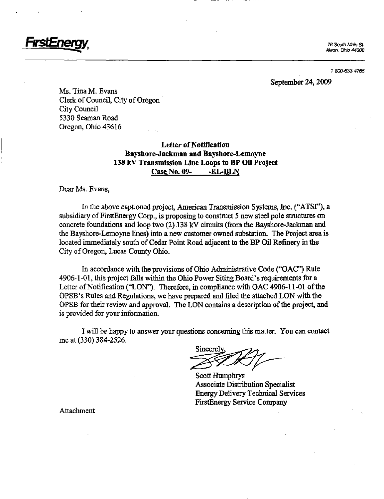

1-800-633-4766

#### September 24,2009

Ms. Tina M. Evans Clerk of Council, City of Oregon City Council 5330 Seaman Road Oregon, Ohio 43616

## Letter of Notification Bayshore-Jackman and Bayshore-Lemoyne 138 kV Transmission Line Loops to BP Oil Project Case No. 09- -EL-BLN

Dear Ms. Evans,

In the above captioned project, American Transmission Systems, Inc. ("ATSF'), a subsidiary of FirstEnergy Corp., is proposing to construct 5 new steel pole structures on concrete foundations and loop two (2) 138 kV circuits (from the Bayshore-Jackman and the Bayshore-Lemoyne lines) into a new customer owned substation. The Project area is located immediately south of Cedar Point Road adjacent to the BP Oil Refinery in the City of Oregon, Lucas County Ohio.

In accordance with the provisions of Ohio Administrative Code ("OAC") Rule 4906-1-01, this project falls within the Ohio Power Siting Board's requirements for a Letter of Notification ("LON"). Therefore, in comphance with OAC 4906-11-01 of the OPSB's Rules and Regulations, we have prepared and filed the attached LON with the OPSB for their review and approval. The LON contains a description of the project, and is provided for your information.

I will be happy to answer your questions concerning this matter. You can contact me at (330) 384-2526.

Sincerely.

Scott Humphrys Associate Distribution Specialist Energy Dehvery Technical Services FirstEnergy Service Company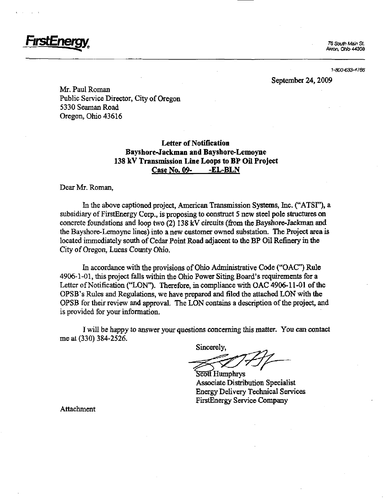

1-800-633-4766

#### September 24,2009

Mr. Paul Roman Public Service Director, City of Oregon 5330 Seaman Road Oregon, Ohio 43616

## Letter of Notification Bayshore-Jackman and Bayshore-Lemoyne 138 kV Transmission Line Loops to BP Oil Project Case No. 09- -EL-BLN

Dear Mr. Roman,

In the above captioned project, American Transmission Systems, Inc. ("ATSF\*), a subsidiary of FirstEnergy Corp., is proposing to construct 5 new steel pole structures on concrete foundations and loop two  $(2)$  138 kV circuits (from the Bayshore-Jackman and the Bayshore-Lemoyne lines) into a new customer owned substation. The Project area is located immediately south of Cedar Pomt Road adjacent to the BP Oil Refinery in the City of Oregon, Lucas County Ohio.

In accordance with the provisions of Ohio Administrative Code ("OAC") Rule 4906-1-01, this project falls within the Ohio Power Siting Board's requirements for a Letter of Notification ("LON"). Therefore, in compliance with OAC 4906-11-01 of tihe OPSB's Rules and Regulations, we have prepared and filed the attached LON with die OPSB for their review and approval. The LON contains a description of the project, and is provided for your information.

I will be happy to answer your questions concerning this matter. You can contact me at (330) 384-2526.

Sincerely,

S<del>cott</del> Humphrys Associate Distribution Specialist Energy Delivery Technical Services FirstEnergy Service Company